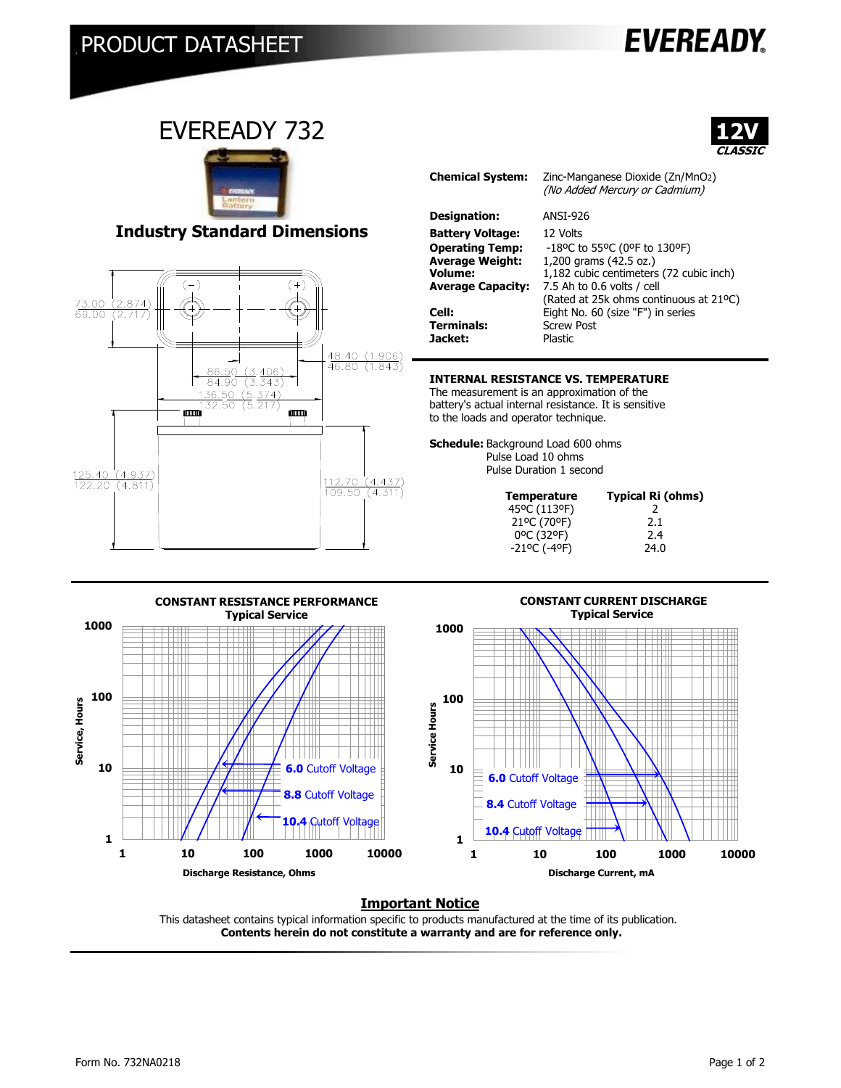## PRODUCT DATASHEET

# **EVEREADY**

### EVEREADY 732



#### **Industry Standard Dimensions**



| <b>Chemical System:</b>                                                                                            | Zinc-Manganese Dioxide (Zn/MnO2)<br>(No Added Mercury or Cadmium)                                                                                                                     |
|--------------------------------------------------------------------------------------------------------------------|---------------------------------------------------------------------------------------------------------------------------------------------------------------------------------------|
| Designation:                                                                                                       | <b>ANST-926</b>                                                                                                                                                                       |
| <b>Battery Voltage:</b><br><b>Operating Temp:</b><br><b>Average Weight:</b><br>Volume:<br><b>Average Capacity:</b> | 12 Volts<br>-18°C to 55°C (0°F to 130°F)<br>1,200 grams (42.5 oz.)<br>1,182 cubic centimeters (72 cubic inch)<br>7.5 Ah to 0.6 volts / cell<br>(Rated at 25k ohms continuous at 21°C) |
| Cell:<br><b>Terminals:</b><br>Jacket:                                                                              | Eight No. 60 (size "F") in series<br><b>Screw Post</b><br><b>Plastic</b>                                                                                                              |

#### **INTERNAL RESISTANCE VS. TEMPERATURE**

The measurement is an approximation of the battery's actual internal resistance. It is sensitive to the loads and operator technique.

**Schedule:** Background Load 600 ohms Pulse Load 10 ohms Pulse Duration 1 second

| <b>Temperature</b>                          | Typical Ri (ohms) |
|---------------------------------------------|-------------------|
| 45°C (113°F)                                |                   |
| 21°C (70°F)                                 | 2.1               |
| 0°C (32°F)                                  | 2.4               |
| $-21$ <sup>o</sup> C ( $-4$ <sup>o</sup> F) | 24.0              |
|                                             |                   |



#### **CONSTANT CURRENT DISCHARGE Typical Service**



#### **Important Notice**

This datasheet contains typical information specific to products manufactured at the time of its publication.  **Contents herein do not constitute a warranty and are for reference only.**